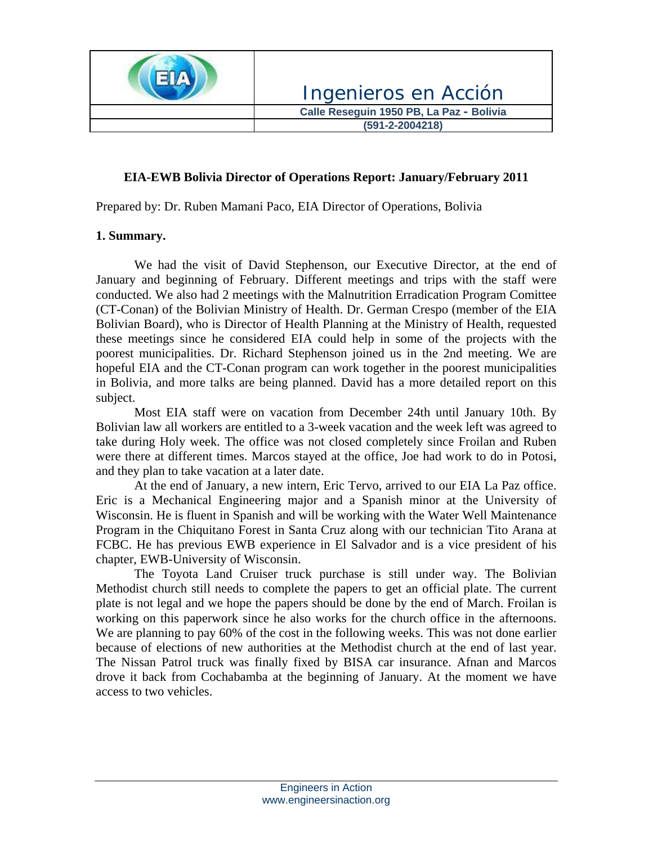

#### **EIA-EWB Bolivia Director of Operations Report: January/February 2011**

Prepared by: Dr. Ruben Mamani Paco, EIA Director of Operations, Bolivia

#### **1. Summary.**

We had the visit of David Stephenson, our Executive Director, at the end of January and beginning of February. Different meetings and trips with the staff were conducted. We also had 2 meetings with the Malnutrition Erradication Program Comittee (CT-Conan) of the Bolivian Ministry of Health. Dr. German Crespo (member of the EIA Bolivian Board), who is Director of Health Planning at the Ministry of Health, requested these meetings since he considered EIA could help in some of the projects with the poorest municipalities. Dr. Richard Stephenson joined us in the 2nd meeting. We are hopeful EIA and the CT-Conan program can work together in the poorest municipalities in Bolivia, and more talks are being planned. David has a more detailed report on this subject.

Most EIA staff were on vacation from December 24th until January 10th. By Bolivian law all workers are entitled to a 3-week vacation and the week left was agreed to take during Holy week. The office was not closed completely since Froilan and Ruben were there at different times. Marcos stayed at the office, Joe had work to do in Potosi, and they plan to take vacation at a later date.

 At the end of January, a new intern, Eric Tervo, arrived to our EIA La Paz office. Eric is a Mechanical Engineering major and a Spanish minor at the University of Wisconsin. He is fluent in Spanish and will be working with the Water Well Maintenance Program in the Chiquitano Forest in Santa Cruz along with our technician Tito Arana at FCBC. He has previous EWB experience in El Salvador and is a vice president of his chapter, EWB-University of Wisconsin.

 The Toyota Land Cruiser truck purchase is still under way. The Bolivian Methodist church still needs to complete the papers to get an official plate. The current plate is not legal and we hope the papers should be done by the end of March. Froilan is working on this paperwork since he also works for the church office in the afternoons. We are planning to pay 60% of the cost in the following weeks. This was not done earlier because of elections of new authorities at the Methodist church at the end of last year. The Nissan Patrol truck was finally fixed by BISA car insurance. Afnan and Marcos drove it back from Cochabamba at the beginning of January. At the moment we have access to two vehicles.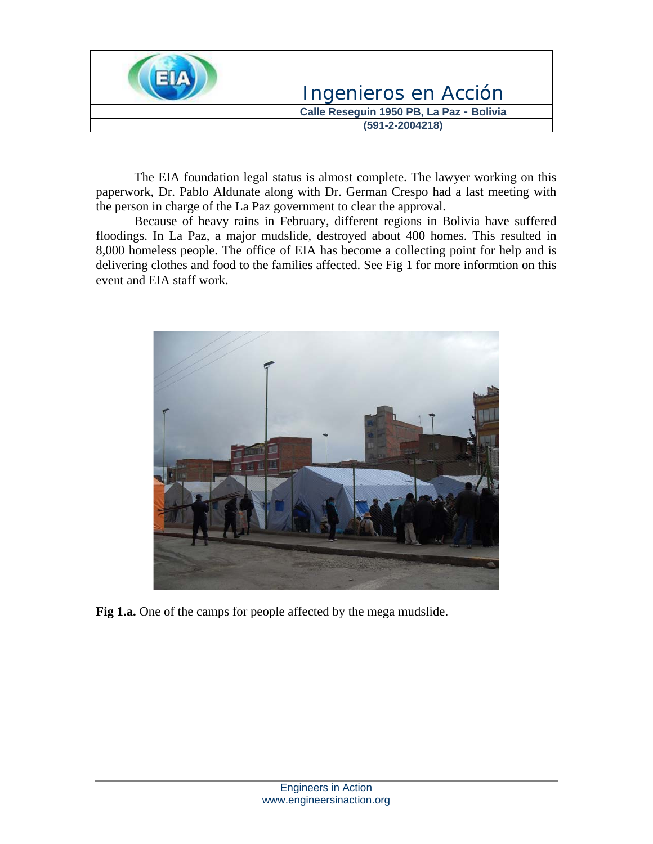

 The EIA foundation legal status is almost complete. The lawyer working on this paperwork, Dr. Pablo Aldunate along with Dr. German Crespo had a last meeting with the person in charge of the La Paz government to clear the approval.

 Because of heavy rains in February, different regions in Bolivia have suffered floodings. In La Paz, a major mudslide, destroyed about 400 homes. This resulted in 8,000 homeless people. The office of EIA has become a collecting point for help and is delivering clothes and food to the families affected. See Fig 1 for more informtion on this event and EIA staff work.



**Fig 1.a.** One of the camps for people affected by the mega mudslide.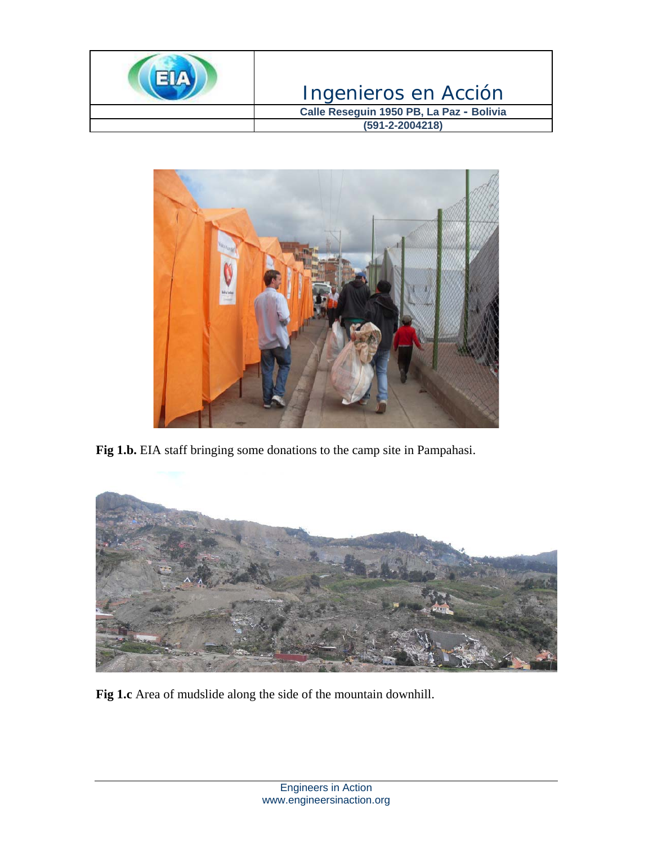



Fig 1.b. EIA staff bringing some donations to the camp site in Pampahasi.



**Fig 1.c** Area of mudslide along the side of the mountain downhill.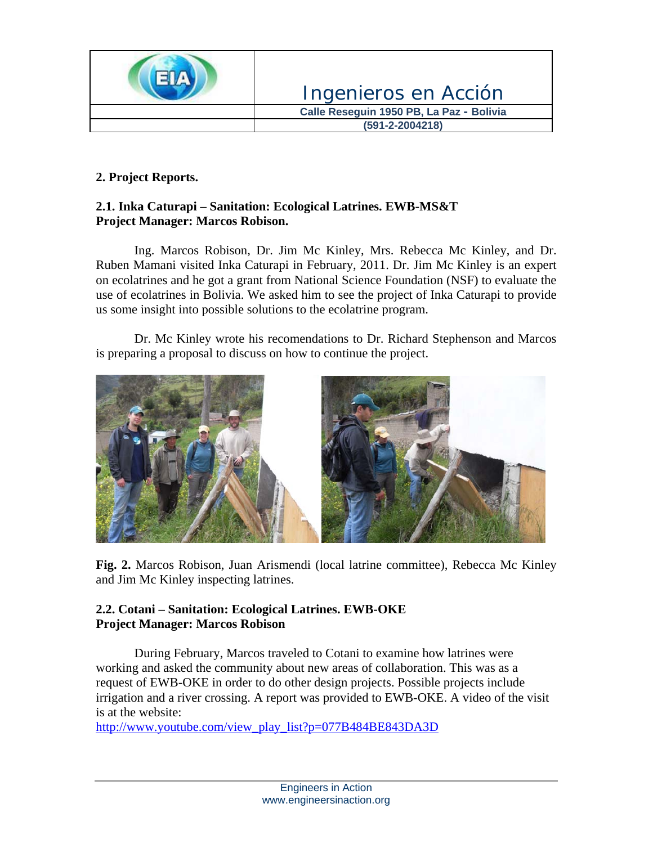

## **2. Project Reports.**

### **2.1. Inka Caturapi – Sanitation: Ecological Latrines. EWB-MS&T Project Manager: Marcos Robison.**

 Ing. Marcos Robison, Dr. Jim Mc Kinley, Mrs. Rebecca Mc Kinley, and Dr. Ruben Mamani visited Inka Caturapi in February, 2011. Dr. Jim Mc Kinley is an expert on ecolatrines and he got a grant from National Science Foundation (NSF) to evaluate the use of ecolatrines in Bolivia. We asked him to see the project of Inka Caturapi to provide us some insight into possible solutions to the ecolatrine program.

 Dr. Mc Kinley wrote his recomendations to Dr. Richard Stephenson and Marcos is preparing a proposal to discuss on how to continue the project.



**Fig. 2.** Marcos Robison, Juan Arismendi (local latrine committee), Rebecca Mc Kinley and Jim Mc Kinley inspecting latrines.

### **2.2. Cotani – Sanitation: Ecological Latrines. EWB-OKE Project Manager: Marcos Robison**

During February, Marcos traveled to Cotani to examine how latrines were working and asked the community about new areas of collaboration. This was as a request of EWB-OKE in order to do other design projects. Possible projects include irrigation and a river crossing. A report was provided to EWB-OKE. A video of the visit is at the website:

[http://www.youtube.com/view\\_play\\_list?p=077B484BE843DA3D](http://www.youtube.com/view_play_list?p=077B484BE843DA3D)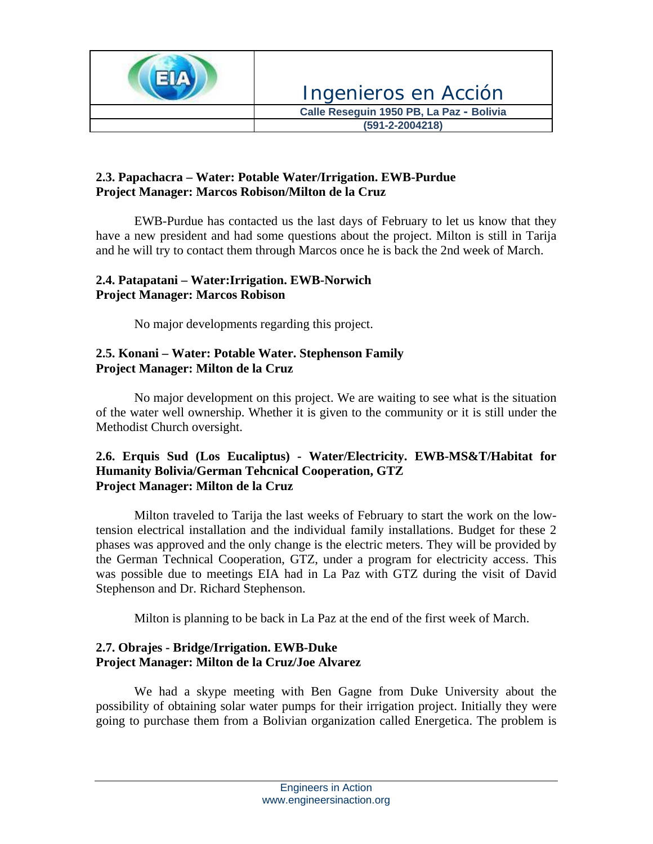

# **2.3. Papachacra – Water: Potable Water/Irrigation. EWB-Purdue Project Manager: Marcos Robison/Milton de la Cruz**

 EWB-Purdue has contacted us the last days of February to let us know that they have a new president and had some questions about the project. Milton is still in Tarija and he will try to contact them through Marcos once he is back the 2nd week of March.

#### **2.4. Patapatani – Water:Irrigation. EWB-Norwich Project Manager: Marcos Robison**

No major developments regarding this project.

## **2.5. Konani – Water: Potable Water. Stephenson Family Project Manager: Milton de la Cruz**

 No major development on this project. We are waiting to see what is the situation of the water well ownership. Whether it is given to the community or it is still under the Methodist Church oversight.

### **2.6. Erquis Sud (Los Eucaliptus) - Water/Electricity. EWB-MS&T/Habitat for Humanity Bolivia/German Tehcnical Cooperation, GTZ Project Manager: Milton de la Cruz**

 Milton traveled to Tarija the last weeks of February to start the work on the lowtension electrical installation and the individual family installations. Budget for these 2 phases was approved and the only change is the electric meters. They will be provided by the German Technical Cooperation, GTZ, under a program for electricity access. This was possible due to meetings EIA had in La Paz with GTZ during the visit of David Stephenson and Dr. Richard Stephenson.

Milton is planning to be back in La Paz at the end of the first week of March.

### **2.7. Obrajes - Bridge/Irrigation. EWB-Duke Project Manager: Milton de la Cruz/Joe Alvarez**

We had a skype meeting with Ben Gagne from Duke University about the possibility of obtaining solar water pumps for their irrigation project. Initially they were going to purchase them from a Bolivian organization called Energetica. The problem is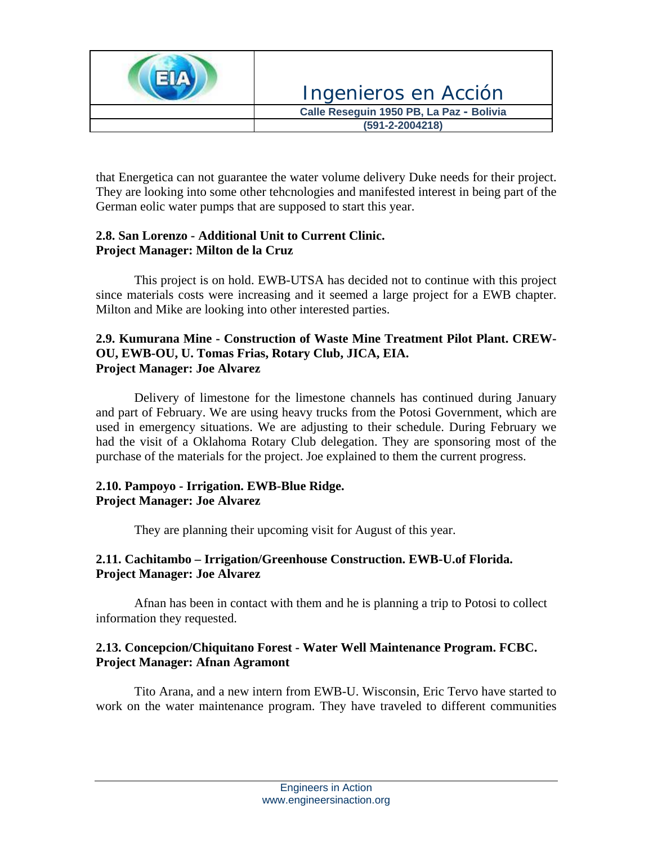

that Energetica can not guarantee the water volume delivery Duke needs for their project. They are looking into some other tehcnologies and manifested interest in being part of the German eolic water pumps that are supposed to start this year.

### **2.8. San Lorenzo - Additional Unit to Current Clinic. Project Manager: Milton de la Cruz**

This project is on hold. EWB-UTSA has decided not to continue with this project since materials costs were increasing and it seemed a large project for a EWB chapter. Milton and Mike are looking into other interested parties.

### **2.9. Kumurana Mine - Construction of Waste Mine Treatment Pilot Plant. CREW-OU, EWB-OU, U. Tomas Frias, Rotary Club, JICA, EIA. Project Manager: Joe Alvarez**

 Delivery of limestone for the limestone channels has continued during January and part of February. We are using heavy trucks from the Potosi Government, which are used in emergency situations. We are adjusting to their schedule. During February we had the visit of a Oklahoma Rotary Club delegation. They are sponsoring most of the purchase of the materials for the project. Joe explained to them the current progress.

### **2.10. Pampoyo - Irrigation. EWB-Blue Ridge. Project Manager: Joe Alvarez**

They are planning their upcoming visit for August of this year.

# **2.11. Cachitambo – Irrigation/Greenhouse Construction. EWB-U.of Florida. Project Manager: Joe Alvarez**

Afnan has been in contact with them and he is planning a trip to Potosi to collect information they requested.

# **2.13. Concepcion/Chiquitano Forest - Water Well Maintenance Program. FCBC. Project Manager: Afnan Agramont**

 Tito Arana, and a new intern from EWB-U. Wisconsin, Eric Tervo have started to work on the water maintenance program. They have traveled to different communities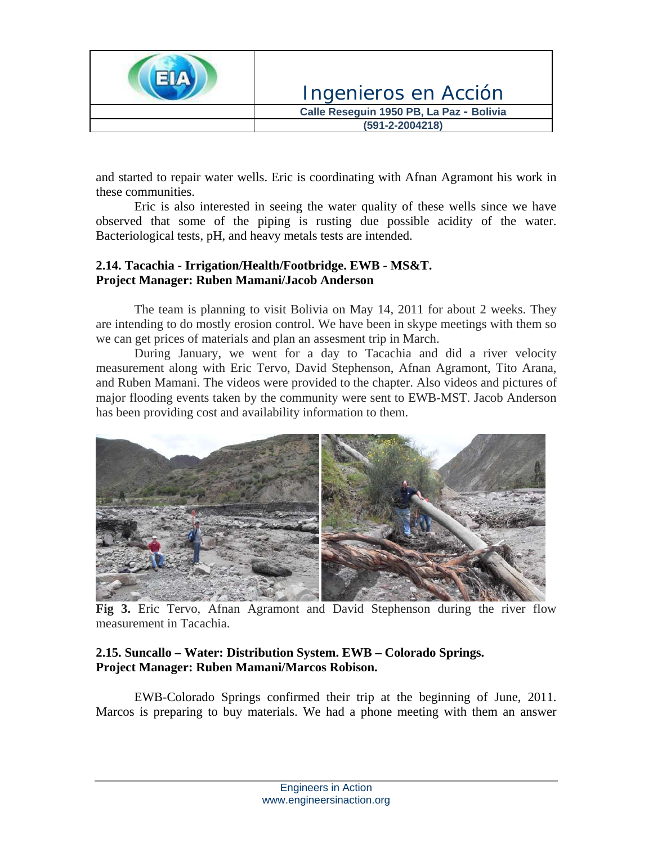

and started to repair water wells. Eric is coordinating with Afnan Agramont his work in these communities.

 Eric is also interested in seeing the water quality of these wells since we have observed that some of the piping is rusting due possible acidity of the water. Bacteriological tests, pH, and heavy metals tests are intended.

### **2.14. Tacachia - Irrigation/Health/Footbridge. EWB - MS&T. Project Manager: Ruben Mamani/Jacob Anderson**

 The team is planning to visit Bolivia on May 14, 2011 for about 2 weeks. They are intending to do mostly erosion control. We have been in skype meetings with them so we can get prices of materials and plan an assesment trip in March.

 During January, we went for a day to Tacachia and did a river velocity measurement along with Eric Tervo, David Stephenson, Afnan Agramont, Tito Arana, and Ruben Mamani. The videos were provided to the chapter. Also videos and pictures of major flooding events taken by the community were sent to EWB-MST. Jacob Anderson has been providing cost and availability information to them.



**Fig 3.** Eric Tervo, Afnan Agramont and David Stephenson during the river flow measurement in Tacachia.

### **2.15. Suncallo – Water: Distribution System. EWB – Colorado Springs. Project Manager: Ruben Mamani/Marcos Robison.**

EWB-Colorado Springs confirmed their trip at the beginning of June, 2011. Marcos is preparing to buy materials. We had a phone meeting with them an answer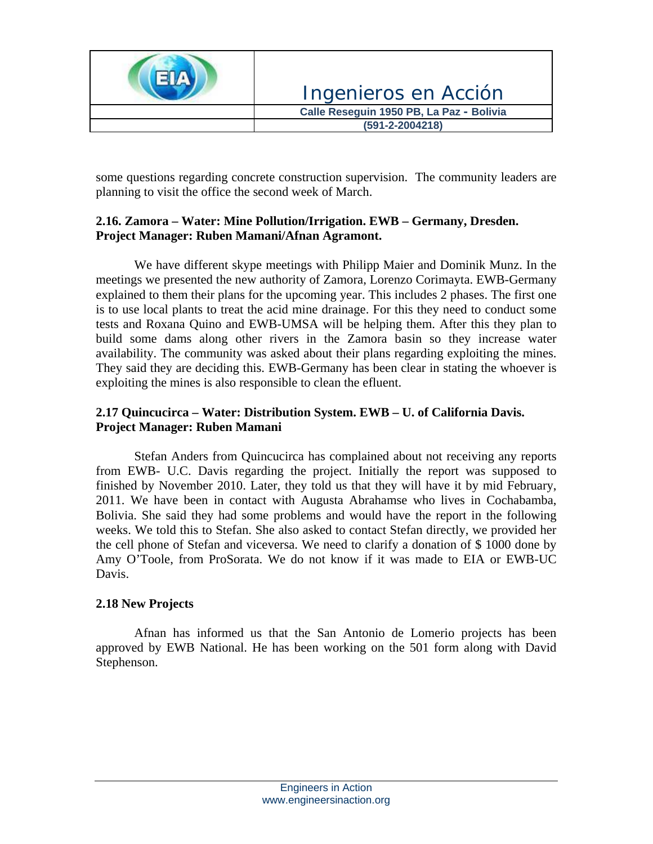

some questions regarding concrete construction supervision. The community leaders are planning to visit the office the second week of March.

### **2.16. Zamora – Water: Mine Pollution/Irrigation. EWB – Germany, Dresden. Project Manager: Ruben Mamani/Afnan Agramont.**

 We have different skype meetings with Philipp Maier and Dominik Munz. In the meetings we presented the new authority of Zamora, Lorenzo Corimayta. EWB-Germany explained to them their plans for the upcoming year. This includes 2 phases. The first one is to use local plants to treat the acid mine drainage. For this they need to conduct some tests and Roxana Quino and EWB-UMSA will be helping them. After this they plan to build some dams along other rivers in the Zamora basin so they increase water availability. The community was asked about their plans regarding exploiting the mines. They said they are deciding this. EWB-Germany has been clear in stating the whoever is exploiting the mines is also responsible to clean the efluent.

### **2.17 Quincucirca – Water: Distribution System. EWB – U. of California Davis. Project Manager: Ruben Mamani**

 Stefan Anders from Quincucirca has complained about not receiving any reports from EWB- U.C. Davis regarding the project. Initially the report was supposed to finished by November 2010. Later, they told us that they will have it by mid February, 2011. We have been in contact with Augusta Abrahamse who lives in Cochabamba, Bolivia. She said they had some problems and would have the report in the following weeks. We told this to Stefan. She also asked to contact Stefan directly, we provided her the cell phone of Stefan and viceversa. We need to clarify a donation of \$ 1000 done by Amy O'Toole, from ProSorata. We do not know if it was made to EIA or EWB-UC Davis.

### **2.18 New Projects**

 Afnan has informed us that the San Antonio de Lomerio projects has been approved by EWB National. He has been working on the 501 form along with David Stephenson.